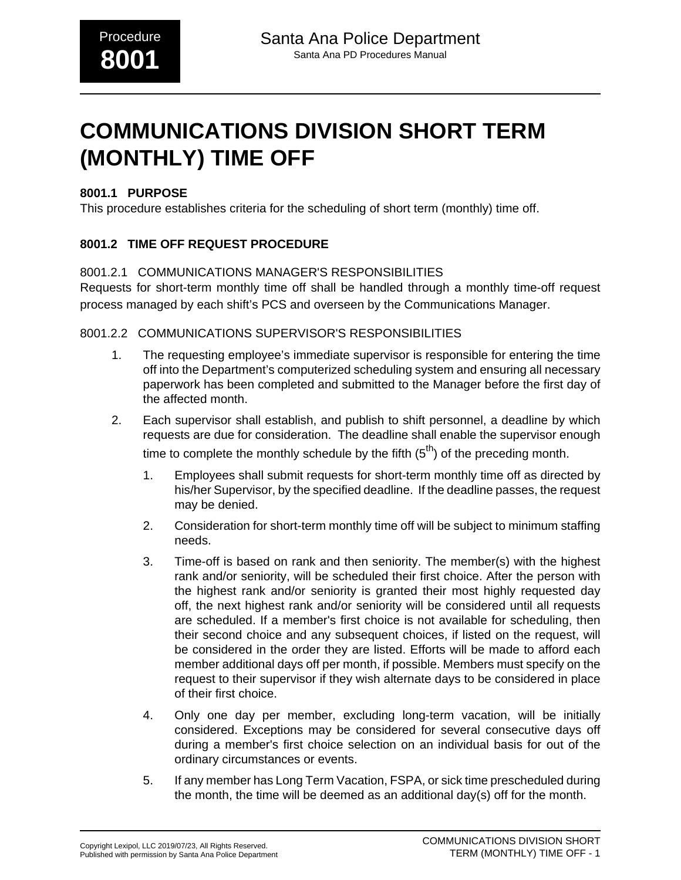# **COMMUNICATIONS DIVISION SHORT TERM (MONTHLY) TIME OFF**

#### **8001.1 PURPOSE**

This procedure establishes criteria for the scheduling of short term (monthly) time off.

## **8001.2 TIME OFF REQUEST PROCEDURE**

### 8001.2.1 COMMUNICATIONS MANAGER'S RESPONSIBILITIES

Requests for short-term monthly time off shall be handled through a monthly time-off request process managed by each shift's PCS and overseen by the Communications Manager.

#### 8001.2.2 COMMUNICATIONS SUPERVISOR'S RESPONSIBILITIES

- 1. The requesting employee's immediate supervisor is responsible for entering the time off into the Department's computerized scheduling system and ensuring all necessary paperwork has been completed and submitted to the Manager before the first day of the affected month.
- 2. Each supervisor shall establish, and publish to shift personnel, a deadline by which requests are due for consideration. The deadline shall enable the supervisor enough time to complete the monthly schedule by the fifth  $(5<sup>th</sup>)$  of the preceding month.
	- 1. Employees shall submit requests for short-term monthly time off as directed by his/her Supervisor, by the specified deadline. If the deadline passes, the request may be denied.
	- 2. Consideration for short-term monthly time off will be subject to minimum staffing needs.
	- 3. Time-off is based on rank and then seniority. The member(s) with the highest rank and/or seniority, will be scheduled their first choice. After the person with the highest rank and/or seniority is granted their most highly requested day off, the next highest rank and/or seniority will be considered until all requests are scheduled. If a member's first choice is not available for scheduling, then their second choice and any subsequent choices, if listed on the request, will be considered in the order they are listed. Efforts will be made to afford each member additional days off per month, if possible. Members must specify on the request to their supervisor if they wish alternate days to be considered in place of their first choice.
	- 4. Only one day per member, excluding long-term vacation, will be initially considered. Exceptions may be considered for several consecutive days off during a member's first choice selection on an individual basis for out of the ordinary circumstances or events.
	- 5. If any member has Long Term Vacation, FSPA, or sick time prescheduled during the month, the time will be deemed as an additional day(s) off for the month.